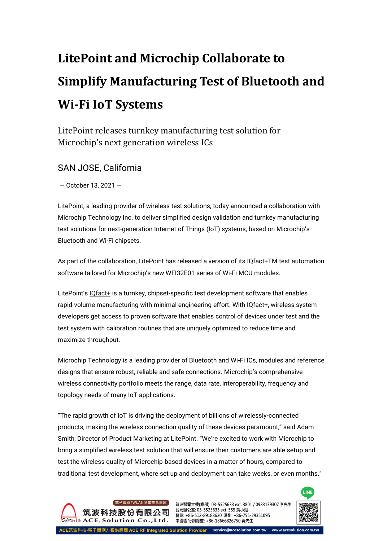## **LitePoint and Microchip Collaborate to Simplify Manufacturing Test of Bluetooth and Wi-Fi IoT Systems**

LitePoint releases turnkey manufacturing test solution for Microchip's next generation wireless ICs

## SAN JOSE, California

— October 13, 2021 —

LitePoint, a leading provider of wireless test solutions, today announced a collaboration with Microchip Technology Inc. to deliver simplified design validation and turnkey manufacturing test solutions for next-generation Internet of Things (IoT) systems, based on Microchip's Bluetooth and Wi-Fi chipsets.

As part of the collaboration, LitePoint has released a version of its IQfact+TM test automation software tailored for Microchip's new WFI32E01 series of Wi-Fi MCU modules.

LitePoint's [IQfact+](https://www.litepoint.com/products/iqfact-plus/) is a turnkey, chipset-specific test development software that enables rapid-volume manufacturing with minimal engineering effort. With IQfact+, wireless system developers get access to proven software that enables control of devices under test and the test system with calibration routines that are uniquely optimized to reduce time and maximize throughput.

Microchip Technology is a leading provider of Bluetooth and Wi-Fi ICs, modules and reference designs that ensure robust, reliable and safe connections. Microchip's comprehensive wireless connectivity portfolio meets the range, data rate, interoperability, frequency and topology needs of many IoT applications.

"The rapid growth of IoT is driving the deployment of billions of wirelessly-connected products, making the wireless connection quality of these devices paramount," said Adam Smith, Director of Product Marketing at LitePoint. "We're excited to work with Microchip to bring a simplified wireless test solution that will ensure their customers are able setup and test the wireless quality of Microchip-based devices in a matter of hours, compared to traditional test development, where set up and deployment can take weeks, or even months."



筑波醫電大樓(總部): 03-5525633 ext. 3801 / 0983139307 李先生 台元辦公室: 03-5525633 ext. 555 黃小姐 蘇州: +86-512-89188620 深圳: +86-755-29351095 中國區 行銷總監: +86-18666826750 黃先生